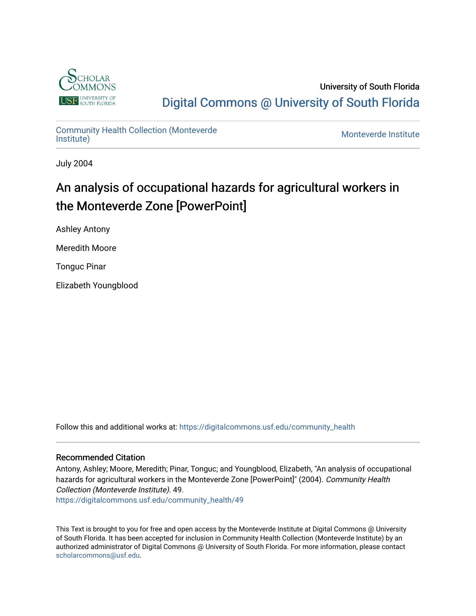

University of South Florida [Digital Commons @ University of South Florida](https://digitalcommons.usf.edu/) 

#### [Community Health Collection \(Monteverde](https://digitalcommons.usf.edu/community_health) Community Health Collection (Monteverde)<br>[Institute\)](https://digitalcommons.usf.edu/community_health) Monteverde Institute

July 2004

#### An analysis of occupational hazards for agricultural workers in the Monteverde Zone [PowerPoint]

Ashley Antony

Meredith Moore

Tonguc Pinar

Elizabeth Youngblood

Follow this and additional works at: [https://digitalcommons.usf.edu/community\\_health](https://digitalcommons.usf.edu/community_health?utm_source=digitalcommons.usf.edu%2Fcommunity_health%2F49&utm_medium=PDF&utm_campaign=PDFCoverPages) 

#### Recommended Citation

Antony, Ashley; Moore, Meredith; Pinar, Tonguc; and Youngblood, Elizabeth, "An analysis of occupational hazards for agricultural workers in the Monteverde Zone [PowerPoint]" (2004). Community Health Collection (Monteverde Institute). 49. [https://digitalcommons.usf.edu/community\\_health/49](https://digitalcommons.usf.edu/community_health/49?utm_source=digitalcommons.usf.edu%2Fcommunity_health%2F49&utm_medium=PDF&utm_campaign=PDFCoverPages) 

This Text is brought to you for free and open access by the Monteverde Institute at Digital Commons @ University of South Florida. It has been accepted for inclusion in Community Health Collection (Monteverde Institute) by an authorized administrator of Digital Commons @ University of South Florida. For more information, please contact [scholarcommons@usf.edu.](mailto:scholarcommons@usf.edu)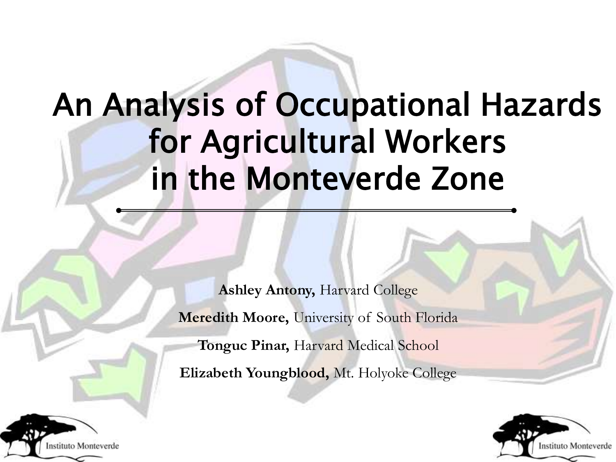#### An Analysis of Occupational Hazards for Agricultural Workers in the Monteverde Zone

**Ashley Antony,** Harvard College **Meredith Moore,** University of South Florida **Tonguc Pinar,** Harvard Medical School **Elizabeth Youngblood,** Mt. Holyoke College

nstituto Monteverde

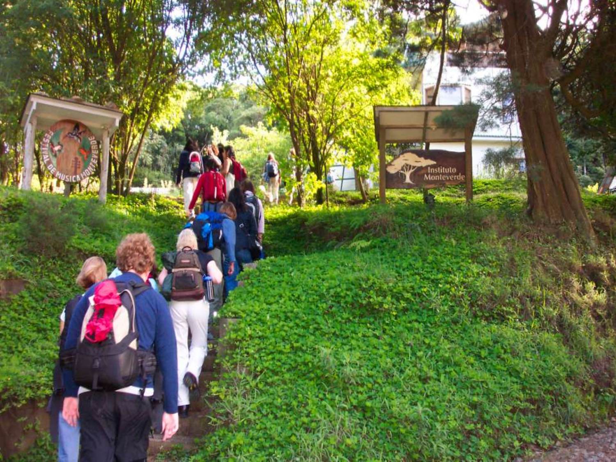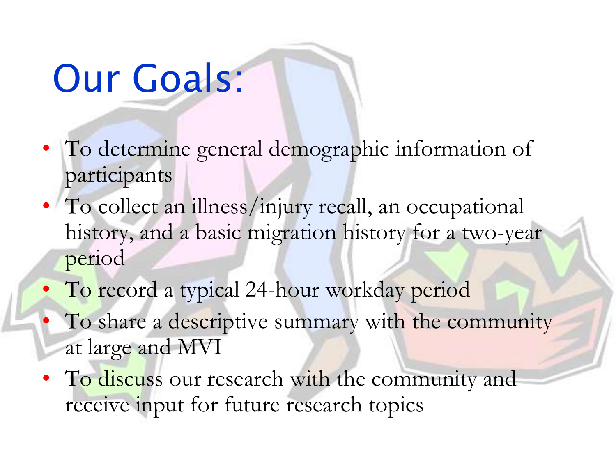## Our Goals:

- To determine general demographic information of participants
- To collect an illness/injury recall, an occupational history, and a basic migration history for a two-year period
- To record a typical 24-hour workday period
- To share a descriptive summary with the community at large and MVI
- To discuss our research with the community and receive input for future research topics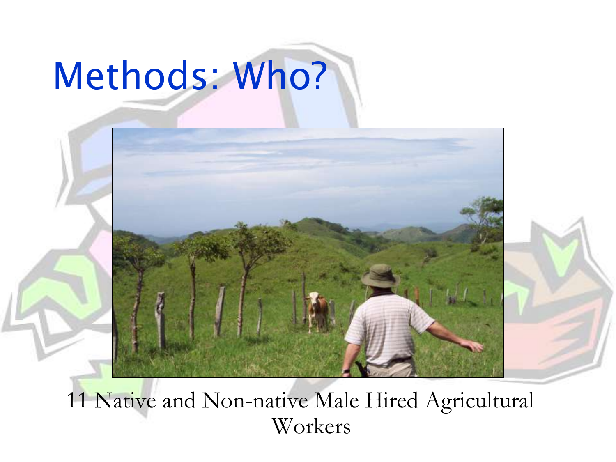# Methods: Who?



11 Native and Non-native Male Hired Agricultural Workers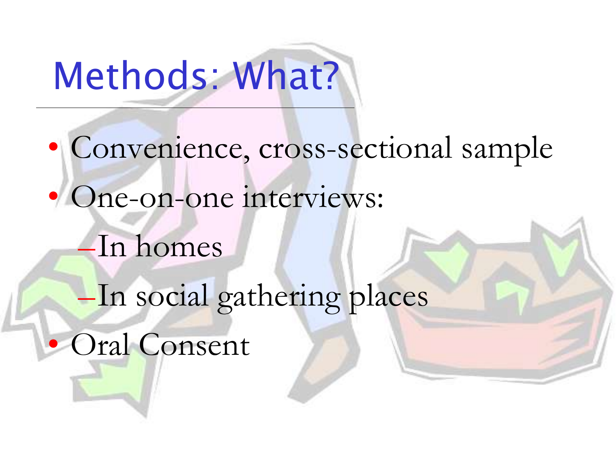# Methods: What?

• Convenience, cross-sectional sample • One-on-one interviews: –In homes –In social gathering places • Oral Consent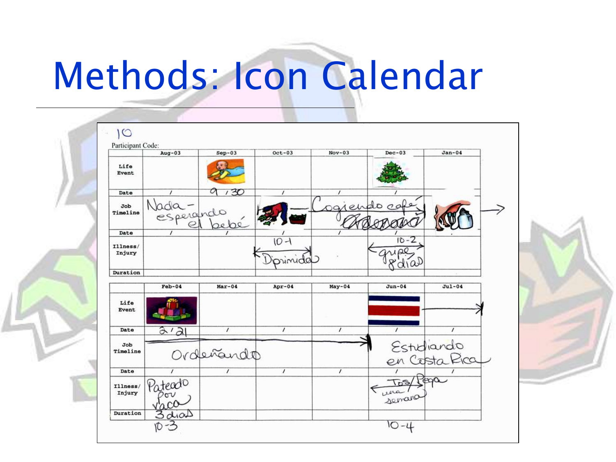# Methods: Icon Calendar

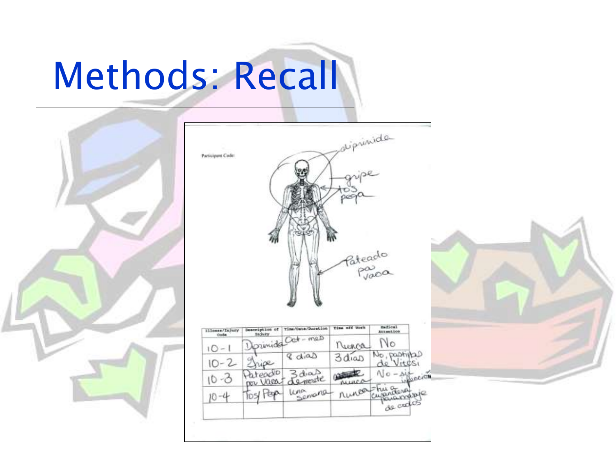# Methods: Recall



| Illosse/Injury<br>Onde | Beacription of<br>Indumy         | Time/Date/Duration | Time off Work | <b>Hadical</b><br>Attention |
|------------------------|----------------------------------|--------------------|---------------|-----------------------------|
| 1 <sup>0</sup>         | Iprimida Cat.                    | $= 0.002$          | Nunca         | ١ñ                          |
| $10 - 2$               |                                  | $Q$ dias           |               |                             |
| $10 - 1$               | $\sqrt{D}$<br>VOLD<br><b>DOV</b> | 100<br>tentre      |               |                             |
|                        |                                  | una<br>senana      | runce         |                             |
|                        |                                  |                    |               | de cados                    |

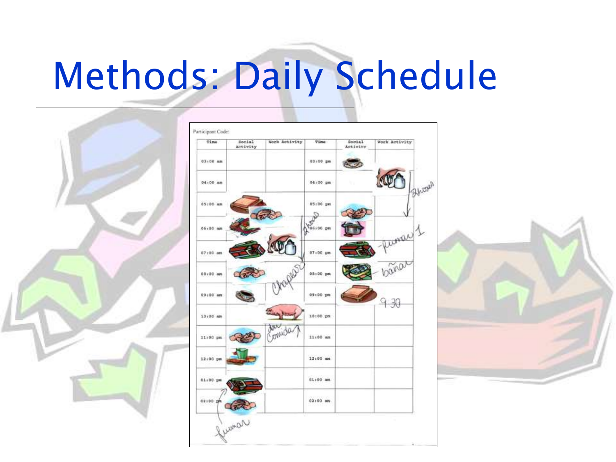# Methods: Daily Schedule

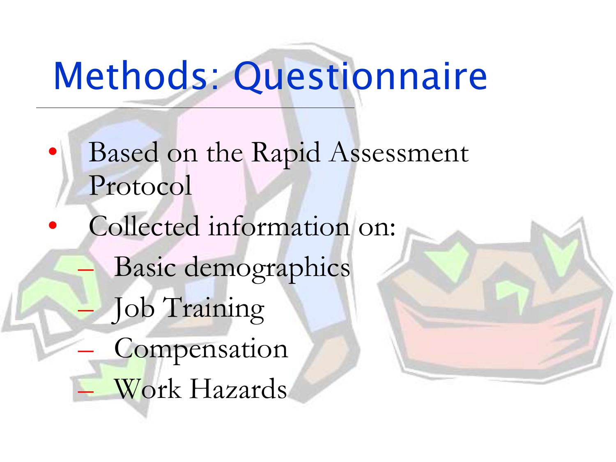#### Methods: Questionnaire

Based on the Rapid Assessment Protocol • Collected information on: – Basic demographics Job Training **Compensation** Work Hazards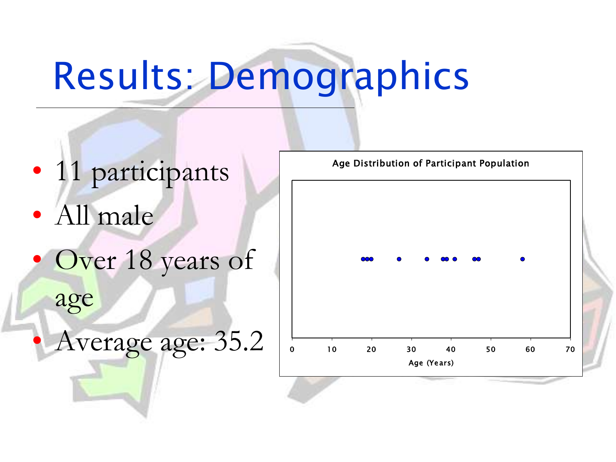- 11 participants
- All male
- Over 18 years of

age

• Average age: 35.2

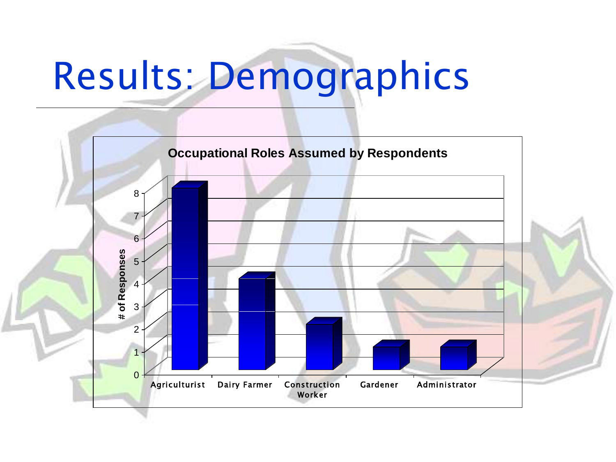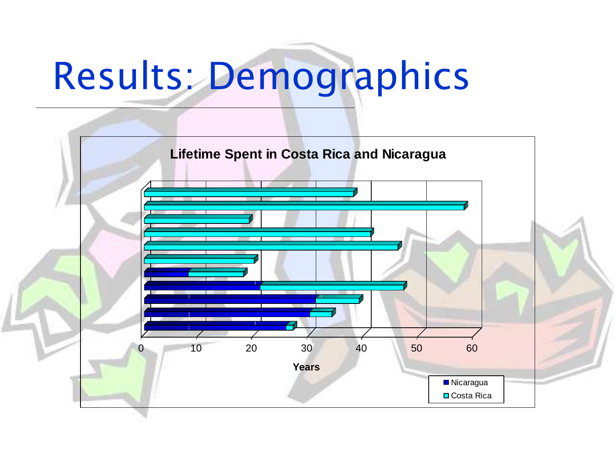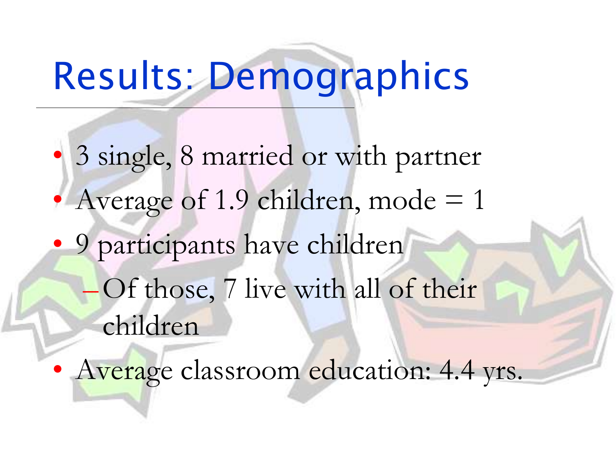• 3 single, 8 married or with partner • Average of 1.9 children, mode  $= 1$ • 9 participants have children –Of those, 7 live with all of their children

• Average classroom education: 4.4 yrs.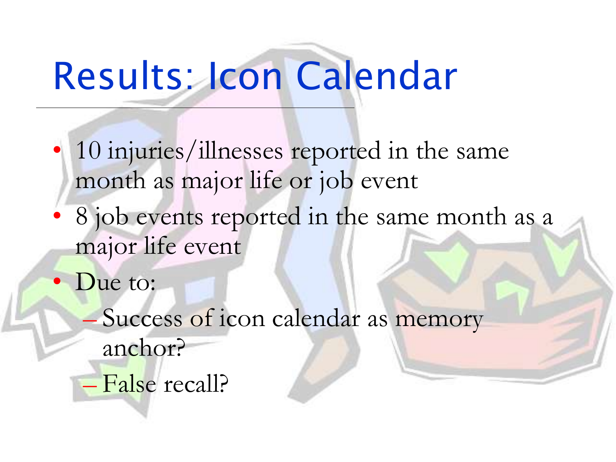## Results: Icon Calendar

- 10 injuries/illnesses reported in the same month as major life or job event
- 8 job events reported in the same month as a major life event
- Due to:
	- Success of icon calendar as memory anchor?
	- False recall?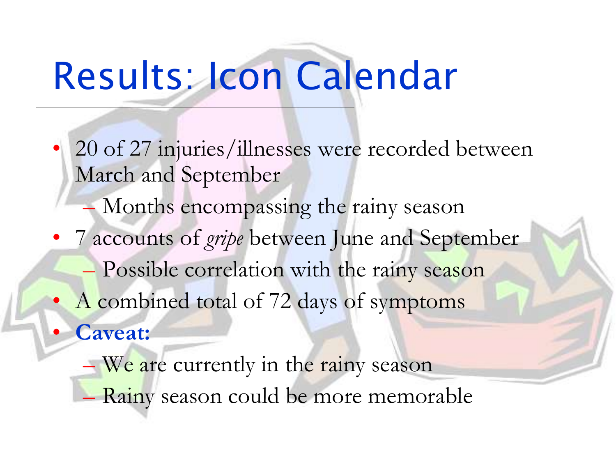## Results: Icon Calendar

• 20 of 27 injuries/illnesses were recorded between March and September

– Months encompassing the rainy season

• 7 accounts of *gripe* between June and September Possible correlation with the rainy season • A combined total of 72 days of symptoms

• **Caveat:**

– We are currently in the rainy season Rainy season could be more memorable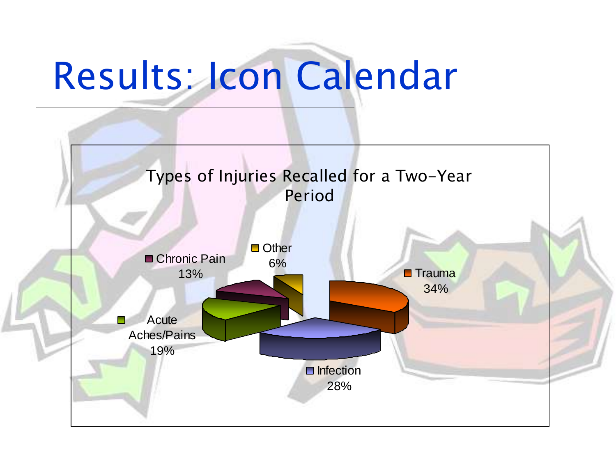## Results: Icon Calendar

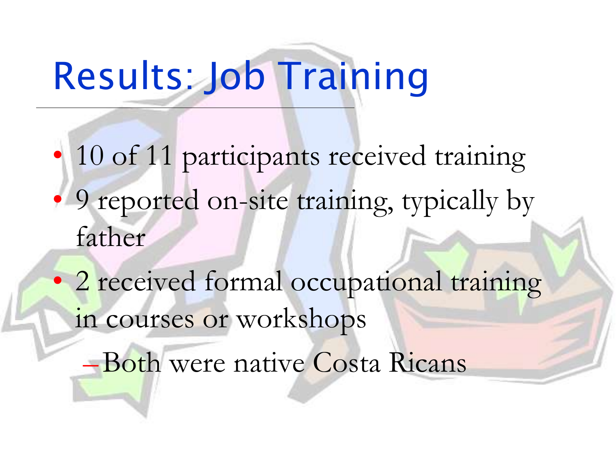## Results: Job Training

- 10 of 11 participants received training • 9 reported on-site training, typically by father
- 2 received formal occupational training in courses or workshops
	- –Both were native Costa Ricans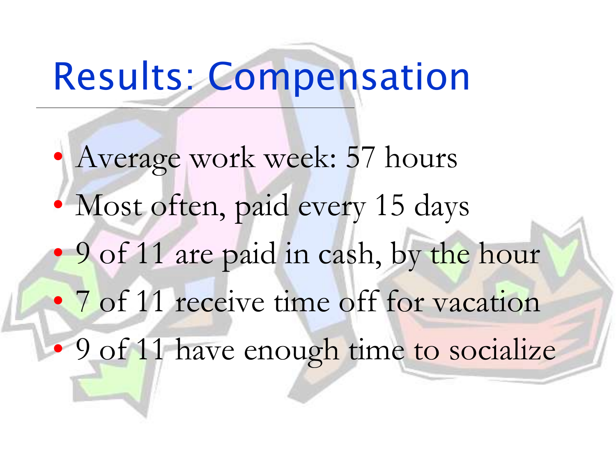### Results: Compensation

• Average work week: 57 hours • Most often, paid every 15 days • 9 of 11 are paid in cash, by the hour • 7 of 11 receive time off for vacation • 9 of 11 have enough time to socialize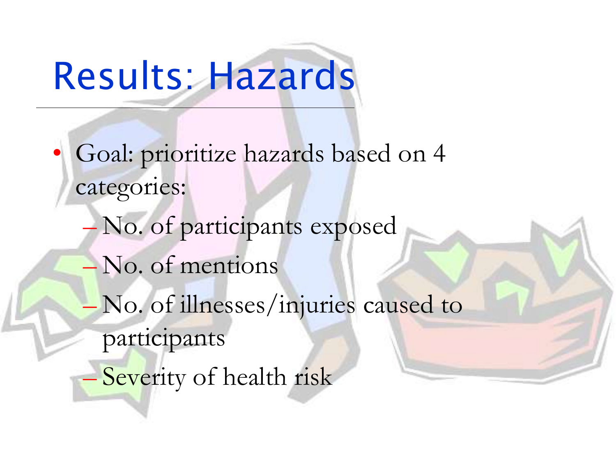• Goal: prioritize hazards based on 4 categories:

– No. of participants exposed – No. of mentions – No. of illnesses/injuries caused to participants Severity of health risk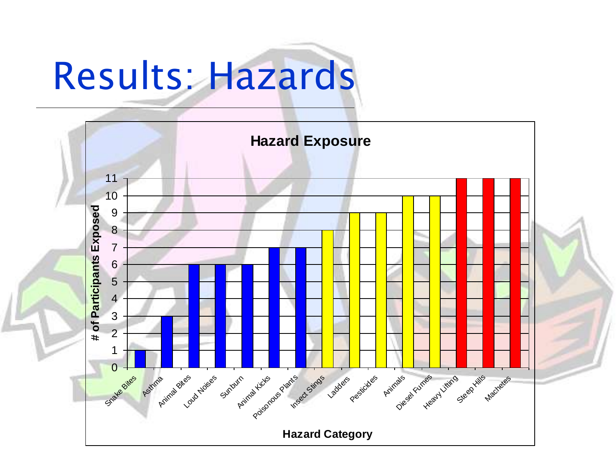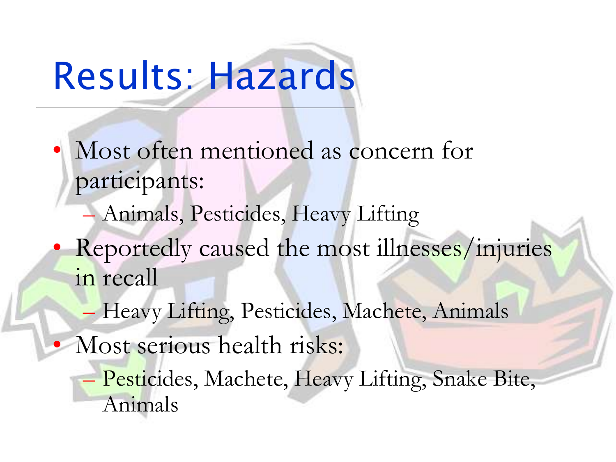- Most often mentioned as concern for participants:
	- Animals, Pesticides, Heavy Lifting
- Reportedly caused the most illnesses/injuries in recall
	- Heavy Lifting, Pesticides, Machete, Animals
	- Most serious health risks:
		- Pesticides, Machete, Heavy Lifting, Snake Bite, Animals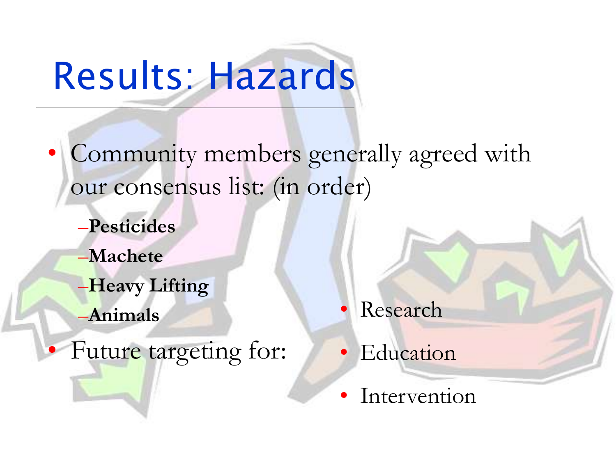- Community members generally agreed with our consensus list: (in order)
	- –**Pesticides**
	- –**Machete**
	- –**Heavy Lifting**
	- –**Animals**
	- Future targeting for:
- Research
- Education
- **Intervention**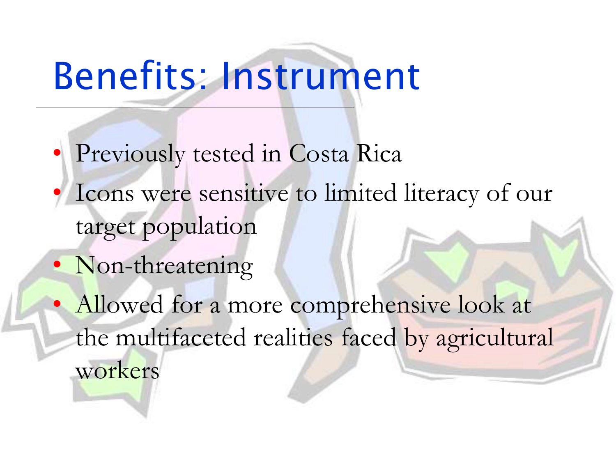#### Benefits: Instrument

- Previously tested in Costa Rica Icons were sensitive to limited literacy of our target population
- Non-threatening
- Allowed for a more comprehensive look at the multifaceted realities faced by agricultural workers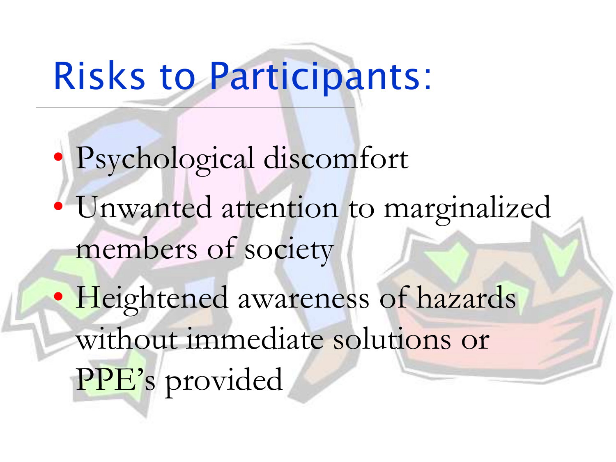#### Risks to Participants:

• Psychological discomfort • Unwanted attention to marginalized members of society • Heightened awareness of hazards without immediate solutions or PPE's provided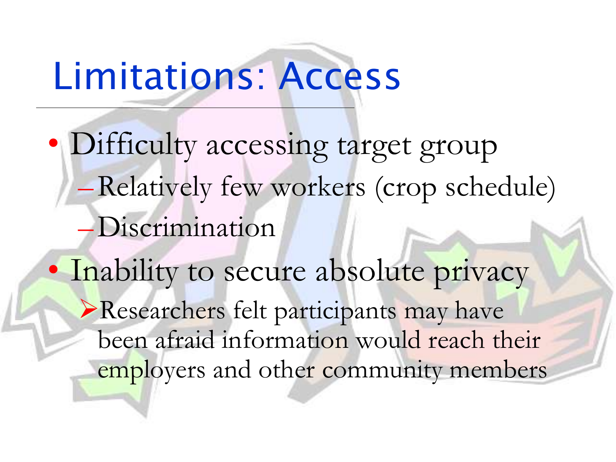#### Limitations: Access

- Difficulty accessing target group –Relatively few workers (crop schedule) –Discrimination
- Inability to secure absolute privacy Researchers felt participants may have been afraid information would reach their employers and other community members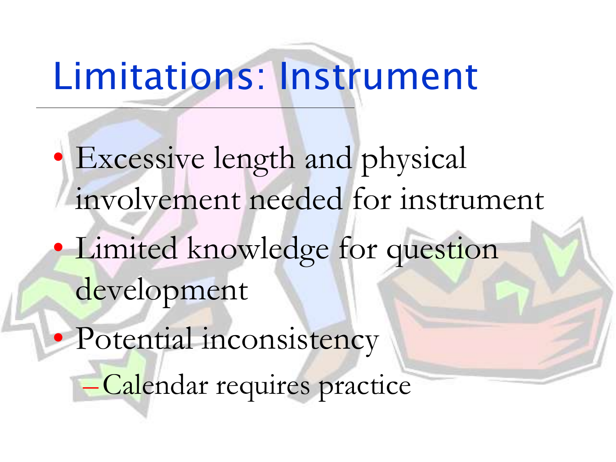#### Limitations: Instrument

• Excessive length and physical involvement needed for instrument • Limited knowledge for question development • Potential inconsistency –Calendar requires practice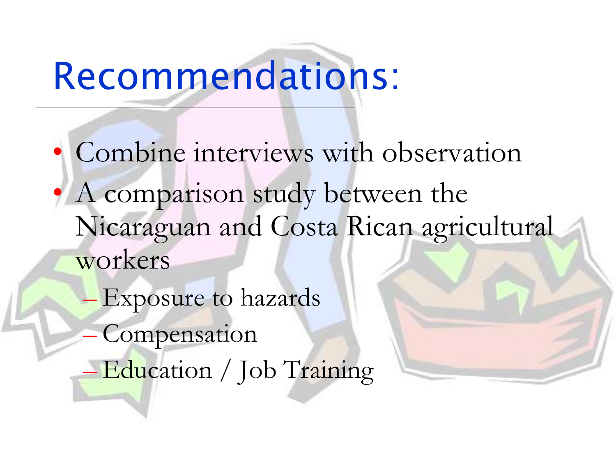#### Recommendations:

• Combine interviews with observation • A comparison study between the Nicaraguan and Costa Rican agricultural workers

- Exposure to hazards
	- **Compensation**
- Education / Job Training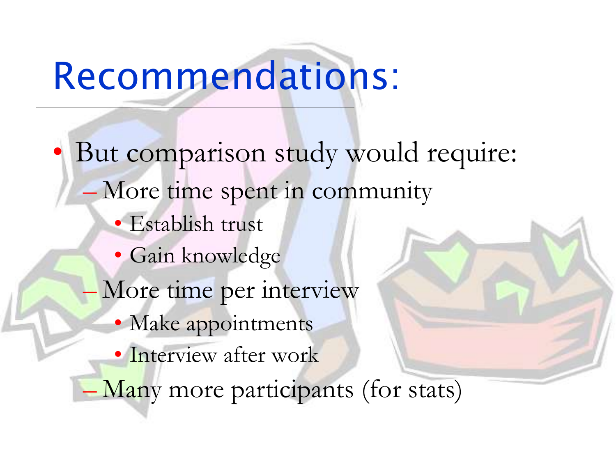#### Recommendations:

• But comparison study would require: – More time spent in community • Establish trust • Gain knowledge – More time per interview • Make appointments • Interview after work Many more participants (for stats)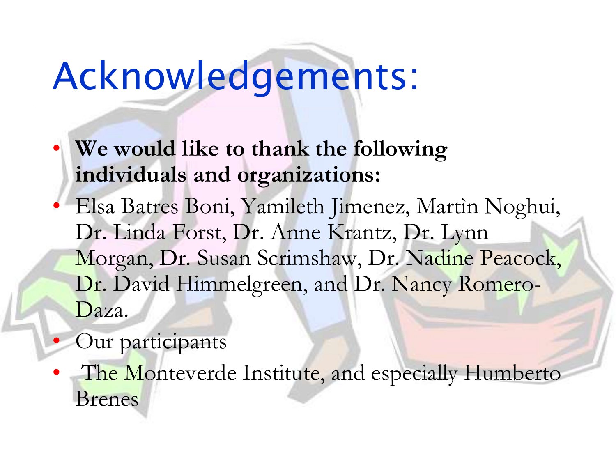#### Acknowledgements:

- **We would like to thank the following individuals and organizations:**
- Elsa Batres Boni, Yamileth Jimenez, Martìn Noghui, Dr. Linda Forst, Dr. Anne Krantz, Dr. Lynn Morgan, Dr. Susan Scrimshaw, Dr. Nadine Peacock, Dr. David Himmelgreen, and Dr. Nancy Romero-Daza.
- Our participants
- The Monteverde Institute, and especially Humberto Brenes